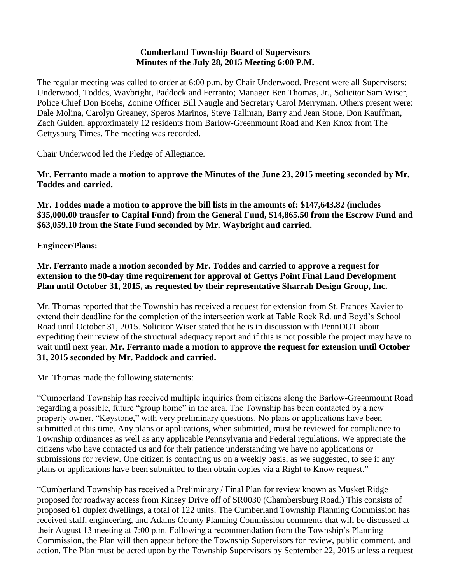#### **Cumberland Township Board of Supervisors Minutes of the July 28, 2015 Meeting 6:00 P.M.**

The regular meeting was called to order at 6:00 p.m. by Chair Underwood. Present were all Supervisors: Underwood, Toddes, Waybright, Paddock and Ferranto; Manager Ben Thomas, Jr., Solicitor Sam Wiser, Police Chief Don Boehs, Zoning Officer Bill Naugle and Secretary Carol Merryman. Others present were: Dale Molina, Carolyn Greaney, Speros Marinos, Steve Tallman, Barry and Jean Stone, Don Kauffman, Zach Gulden, approximately 12 residents from Barlow-Greenmount Road and Ken Knox from The Gettysburg Times. The meeting was recorded.

Chair Underwood led the Pledge of Allegiance.

**Mr. Ferranto made a motion to approve the Minutes of the June 23, 2015 meeting seconded by Mr. Toddes and carried.**

**Mr. Toddes made a motion to approve the bill lists in the amounts of: \$147,643.82 (includes \$35,000.00 transfer to Capital Fund) from the General Fund, \$14,865.50 from the Escrow Fund and \$63,059.10 from the State Fund seconded by Mr. Waybright and carried.**

# **Engineer/Plans:**

**Mr. Ferranto made a motion seconded by Mr. Toddes and carried to approve a request for extension to the 90-day time requirement for approval of Gettys Point Final Land Development Plan until October 31, 2015, as requested by their representative Sharrah Design Group, Inc.**

Mr. Thomas reported that the Township has received a request for extension from St. Frances Xavier to extend their deadline for the completion of the intersection work at Table Rock Rd. and Boyd's School Road until October 31, 2015. Solicitor Wiser stated that he is in discussion with PennDOT about expediting their review of the structural adequacy report and if this is not possible the project may have to wait until next year. **Mr. Ferranto made a motion to approve the request for extension until October 31, 2015 seconded by Mr. Paddock and carried.**

Mr. Thomas made the following statements:

"Cumberland Township has received multiple inquiries from citizens along the Barlow-Greenmount Road regarding a possible, future "group home" in the area. The Township has been contacted by a new property owner, "Keystone," with very preliminary questions. No plans or applications have been submitted at this time. Any plans or applications, when submitted, must be reviewed for compliance to Township ordinances as well as any applicable Pennsylvania and Federal regulations. We appreciate the citizens who have contacted us and for their patience understanding we have no applications or submissions for review. One citizen is contacting us on a weekly basis, as we suggested, to see if any plans or applications have been submitted to then obtain copies via a Right to Know request."

"Cumberland Township has received a Preliminary / Final Plan for review known as Musket Ridge proposed for roadway access from Kinsey Drive off of SR0030 (Chambersburg Road.) This consists of proposed 61 duplex dwellings, a total of 122 units. The Cumberland Township Planning Commission has received staff, engineering, and Adams County Planning Commission comments that will be discussed at their August 13 meeting at 7:00 p.m. Following a recommendation from the Township's Planning Commission, the Plan will then appear before the Township Supervisors for review, public comment, and action. The Plan must be acted upon by the Township Supervisors by September 22, 2015 unless a request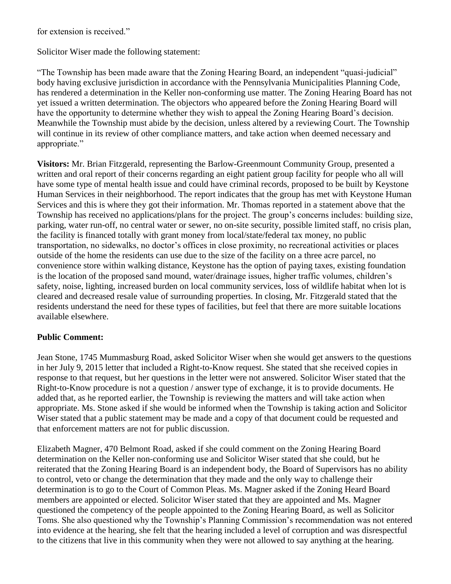for extension is received."

Solicitor Wiser made the following statement:

"The Township has been made aware that the Zoning Hearing Board, an independent "quasi-judicial" body having exclusive jurisdiction in accordance with the Pennsylvania Municipalities Planning Code, has rendered a determination in the Keller non-conforming use matter. The Zoning Hearing Board has not yet issued a written determination. The objectors who appeared before the Zoning Hearing Board will have the opportunity to determine whether they wish to appeal the Zoning Hearing Board's decision. Meanwhile the Township must abide by the decision, unless altered by a reviewing Court. The Township will continue in its review of other compliance matters, and take action when deemed necessary and appropriate."

**Visitors:** Mr. Brian Fitzgerald, representing the Barlow-Greenmount Community Group, presented a written and oral report of their concerns regarding an eight patient group facility for people who all will have some type of mental health issue and could have criminal records, proposed to be built by Keystone Human Services in their neighborhood. The report indicates that the group has met with Keystone Human Services and this is where they got their information. Mr. Thomas reported in a statement above that the Township has received no applications/plans for the project. The group's concerns includes: building size, parking, water run-off, no central water or sewer, no on-site security, possible limited staff, no crisis plan, the facility is financed totally with grant money from local/state/federal tax money, no public transportation, no sidewalks, no doctor's offices in close proximity, no recreational activities or places outside of the home the residents can use due to the size of the facility on a three acre parcel, no convenience store within walking distance, Keystone has the option of paying taxes, existing foundation is the location of the proposed sand mound, water/drainage issues, higher traffic volumes, children's safety, noise, lighting, increased burden on local community services, loss of wildlife habitat when lot is cleared and decreased resale value of surrounding properties. In closing, Mr. Fitzgerald stated that the residents understand the need for these types of facilities, but feel that there are more suitable locations available elsewhere.

### **Public Comment:**

Jean Stone, 1745 Mummasburg Road, asked Solicitor Wiser when she would get answers to the questions in her July 9, 2015 letter that included a Right-to-Know request. She stated that she received copies in response to that request, but her questions in the letter were not answered. Solicitor Wiser stated that the Right-to-Know procedure is not a question / answer type of exchange, it is to provide documents. He added that, as he reported earlier, the Township is reviewing the matters and will take action when appropriate. Ms. Stone asked if she would be informed when the Township is taking action and Solicitor Wiser stated that a public statement may be made and a copy of that document could be requested and that enforcement matters are not for public discussion.

Elizabeth Magner, 470 Belmont Road, asked if she could comment on the Zoning Hearing Board determination on the Keller non-conforming use and Solicitor Wiser stated that she could, but he reiterated that the Zoning Hearing Board is an independent body, the Board of Supervisors has no ability to control, veto or change the determination that they made and the only way to challenge their determination is to go to the Court of Common Pleas. Ms. Magner asked if the Zoning Heard Board members are appointed or elected. Solicitor Wiser stated that they are appointed and Ms. Magner questioned the competency of the people appointed to the Zoning Hearing Board, as well as Solicitor Toms. She also questioned why the Township's Planning Commission's recommendation was not entered into evidence at the hearing, she felt that the hearing included a level of corruption and was disrespectful to the citizens that live in this community when they were not allowed to say anything at the hearing.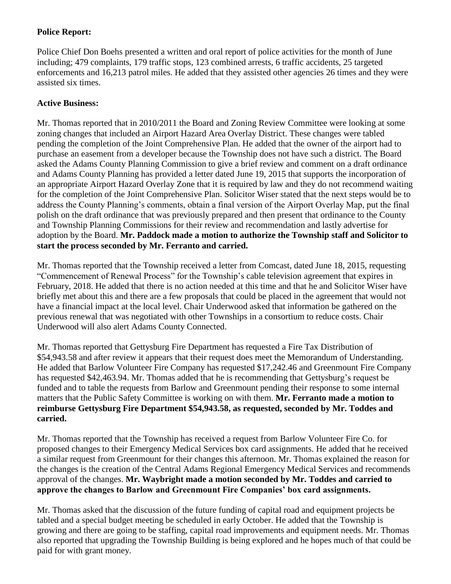# **Police Report:**

Police Chief Don Boehs presented a written and oral report of police activities for the month of June including; 479 complaints, 179 traffic stops, 123 combined arrests, 6 traffic accidents, 25 targeted enforcements and 16,213 patrol miles. He added that they assisted other agencies 26 times and they were assisted six times.

# **Active Business:**

Mr. Thomas reported that in 2010/2011 the Board and Zoning Review Committee were looking at some zoning changes that included an Airport Hazard Area Overlay District. These changes were tabled pending the completion of the Joint Comprehensive Plan. He added that the owner of the airport had to purchase an easement from a developer because the Township does not have such a district. The Board asked the Adams County Planning Commission to give a brief review and comment on a draft ordinance and Adams County Planning has provided a letter dated June 19, 2015 that supports the incorporation of an appropriate Airport Hazard Overlay Zone that it is required by law and they do not recommend waiting for the completion of the Joint Comprehensive Plan. Solicitor Wiser stated that the next steps would be to address the County Planning's comments, obtain a final version of the Airport Overlay Map, put the final polish on the draft ordinance that was previously prepared and then present that ordinance to the County and Township Planning Commissions for their review and recommendation and lastly advertise for adoption by the Board. **Mr. Paddock made a motion to authorize the Township staff and Solicitor to start the process seconded by Mr. Ferranto and carried.**

Mr. Thomas reported that the Township received a letter from Comcast, dated June 18, 2015, requesting "Commencement of Renewal Process" for the Township's cable television agreement that expires in February, 2018. He added that there is no action needed at this time and that he and Solicitor Wiser have briefly met about this and there are a few proposals that could be placed in the agreement that would not have a financial impact at the local level. Chair Underwood asked that information be gathered on the previous renewal that was negotiated with other Townships in a consortium to reduce costs. Chair Underwood will also alert Adams County Connected.

Mr. Thomas reported that Gettysburg Fire Department has requested a Fire Tax Distribution of \$54,943.58 and after review it appears that their request does meet the Memorandum of Understanding. He added that Barlow Volunteer Fire Company has requested \$17,242.46 and Greenmount Fire Company has requested \$42,463.94. Mr. Thomas added that he is recommending that Gettysburg's request be funded and to table the requests from Barlow and Greenmount pending their response to some internal matters that the Public Safety Committee is working on with them. **Mr. Ferranto made a motion to reimburse Gettysburg Fire Department \$54,943.58, as requested, seconded by Mr. Toddes and carried.** 

Mr. Thomas reported that the Township has received a request from Barlow Volunteer Fire Co. for proposed changes to their Emergency Medical Services box card assignments. He added that he received a similar request from Greenmount for their changes this afternoon. Mr. Thomas explained the reason for the changes is the creation of the Central Adams Regional Emergency Medical Services and recommends approval of the changes. **Mr. Waybright made a motion seconded by Mr. Toddes and carried to approve the changes to Barlow and Greenmount Fire Companies' box card assignments.** 

Mr. Thomas asked that the discussion of the future funding of capital road and equipment projects be tabled and a special budget meeting be scheduled in early October. He added that the Township is growing and there are going to be staffing, capital road improvements and equipment needs. Mr. Thomas also reported that upgrading the Township Building is being explored and he hopes much of that could be paid for with grant money.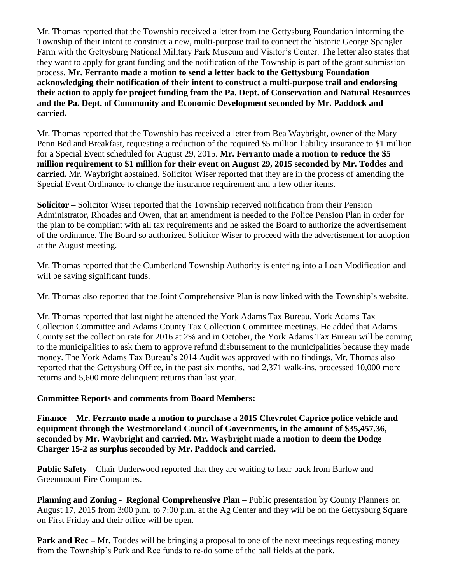Mr. Thomas reported that the Township received a letter from the Gettysburg Foundation informing the Township of their intent to construct a new, multi-purpose trail to connect the historic George Spangler Farm with the Gettysburg National Military Park Museum and Visitor's Center. The letter also states that they want to apply for grant funding and the notification of the Township is part of the grant submission process. **Mr. Ferranto made a motion to send a letter back to the Gettysburg Foundation acknowledging their notification of their intent to construct a multi-purpose trail and endorsing their action to apply for project funding from the Pa. Dept. of Conservation and Natural Resources and the Pa. Dept. of Community and Economic Development seconded by Mr. Paddock and carried.**

Mr. Thomas reported that the Township has received a letter from Bea Waybright, owner of the Mary Penn Bed and Breakfast, requesting a reduction of the required \$5 million liability insurance to \$1 million for a Special Event scheduled for August 29, 2015. **Mr. Ferranto made a motion to reduce the \$5 million requirement to \$1 million for their event on August 29, 2015 seconded by Mr. Toddes and carried.** Mr. Waybright abstained. Solicitor Wiser reported that they are in the process of amending the Special Event Ordinance to change the insurance requirement and a few other items.

**Solicitor –** Solicitor Wiser reported that the Township received notification from their Pension Administrator, Rhoades and Owen, that an amendment is needed to the Police Pension Plan in order for the plan to be compliant with all tax requirements and he asked the Board to authorize the advertisement of the ordinance. The Board so authorized Solicitor Wiser to proceed with the advertisement for adoption at the August meeting.

Mr. Thomas reported that the Cumberland Township Authority is entering into a Loan Modification and will be saving significant funds.

Mr. Thomas also reported that the Joint Comprehensive Plan is now linked with the Township's website.

Mr. Thomas reported that last night he attended the York Adams Tax Bureau, York Adams Tax Collection Committee and Adams County Tax Collection Committee meetings. He added that Adams County set the collection rate for 2016 at 2% and in October, the York Adams Tax Bureau will be coming to the municipalities to ask them to approve refund disbursement to the municipalities because they made money. The York Adams Tax Bureau's 2014 Audit was approved with no findings. Mr. Thomas also reported that the Gettysburg Office, in the past six months, had 2,371 walk-ins, processed 10,000 more returns and 5,600 more delinquent returns than last year.

### **Committee Reports and comments from Board Members:**

**Finance** – **Mr. Ferranto made a motion to purchase a 2015 Chevrolet Caprice police vehicle and equipment through the Westmoreland Council of Governments, in the amount of \$35,457.36, seconded by Mr. Waybright and carried. Mr. Waybright made a motion to deem the Dodge Charger 15-2 as surplus seconded by Mr. Paddock and carried.**

**Public Safety** – Chair Underwood reported that they are waiting to hear back from Barlow and Greenmount Fire Companies.

**Planning and Zoning - Regional Comprehensive Plan –** Public presentation by County Planners on August 17, 2015 from 3:00 p.m. to 7:00 p.m. at the Ag Center and they will be on the Gettysburg Square on First Friday and their office will be open.

**Park and Rec** – Mr. Toddes will be bringing a proposal to one of the next meetings requesting money from the Township's Park and Rec funds to re-do some of the ball fields at the park.